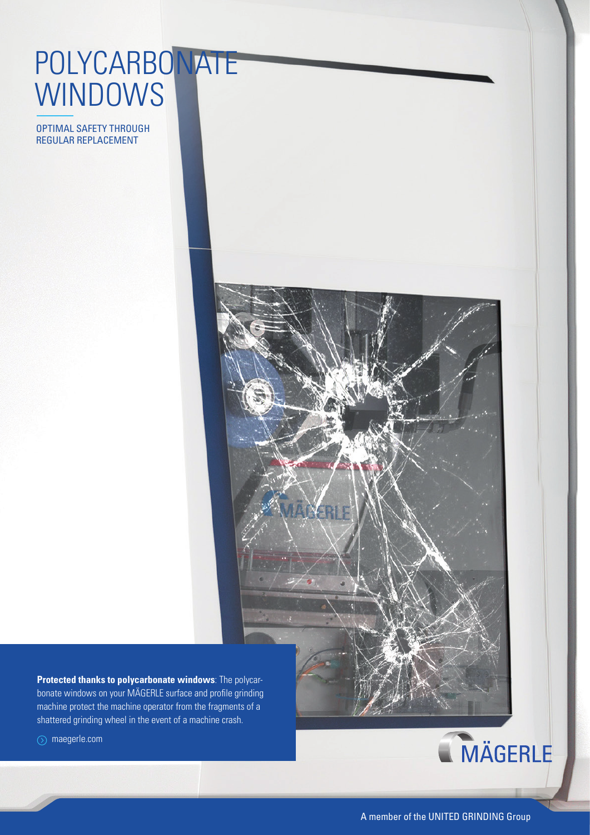## POLYCARBONATE **WINDOWS**

OPTIMAL SAFETY THROUGH REGULAR REPLACEMENT



**Protected thanks to polycarbonate windows**: The polycarbonate windows on your MÄGERLE surface and profile grinding machine protect the machine operator from the fragments of a shattered grinding wheel in the event of a machine crash.

maegerle.com



A member of the UNITED GRINDING Group